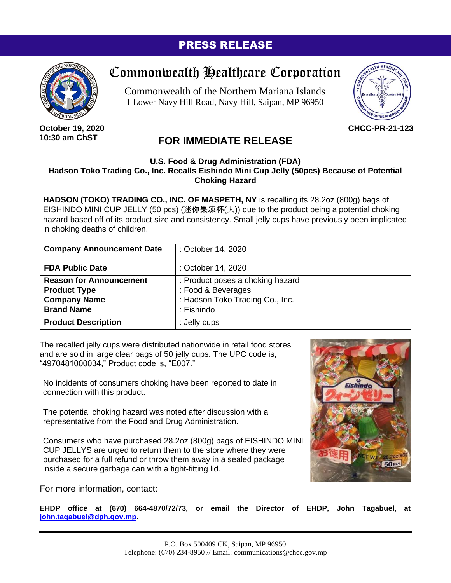### PRESS RELEASE



**October 19, 2020 10:30 am ChST**

# Commonwealth Healthcare Corporation

Commonwealth of the Northern Mariana Islands 1 Lower Navy Hill Road, Navy Hill, Saipan, MP 96950



**CHCC-PR-21-123**

## **FOR IMMEDIATE RELEASE**

### **U.S. Food & Drug Administration (FDA) Hadson Toko Trading Co., Inc. Recalls Eishindo Mini Cup Jelly (50pcs) Because of Potential Choking Hazard**

**HADSON (TOKO) TRADING CO., INC. OF MASPETH, NY** is recalling its 28.2oz (800g) bags of EISHINDO MINI CUP JELLY (50 pcs) (迷你果凍杯(大)) due to the product being a potential choking hazard based off of its product size and consistency. Small jelly cups have previously been implicated in choking deaths of children.

| <b>Company Announcement Date</b> | : October 14, 2020               |
|----------------------------------|----------------------------------|
| <b>FDA Public Date</b>           | : October 14, 2020               |
| <b>Reason for Announcement</b>   | : Product poses a choking hazard |
| <b>Product Type</b>              | : Food & Beverages               |
| <b>Company Name</b>              | : Hadson Toko Trading Co., Inc.  |
| <b>Brand Name</b>                | : Eishindo                       |
| <b>Product Description</b>       | : Jelly cups                     |

The recalled jelly cups were distributed nationwide in retail food stores and are sold in large clear bags of 50 jelly cups. The UPC code is, "4970481000034," Product code is, "E007."

No incidents of consumers choking have been reported to date in connection with this product.

The potential choking hazard was noted after discussion with a representative from the Food and Drug Administration.

Consumers who have purchased 28.2oz (800g) bags of EISHINDO MINI CUP JELLYS are urged to return them to the store where they were purchased for a full refund or throw them away in a sealed package inside a secure garbage can with a tight-fitting lid.

For more information, contact:

**[john.tagabuel@dph.gov.mp.](mailto:john.tagabuel@dph.gov.mp)**